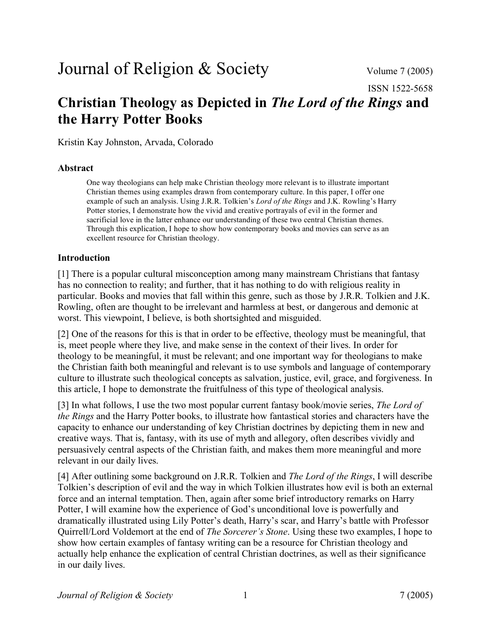# Journal of Religion & Society Volume 7 (2005)

ISSN 1522-5658

# **Christian Theology as Depicted in** *The Lord of the Rings* **and the Harry Potter Books**

Kristin Kay Johnston, Arvada, Colorado

#### **Abstract**

One way theologians can help make Christian theology more relevant is to illustrate important Christian themes using examples drawn from contemporary culture. In this paper, I offer one example of such an analysis. Using J.R.R. Tolkien's *Lord of the Rings* and J.K. Rowling's Harry Potter stories, I demonstrate how the vivid and creative portrayals of evil in the former and sacrificial love in the latter enhance our understanding of these two central Christian themes. Through this explication, I hope to show how contemporary books and movies can serve as an excellent resource for Christian theology.

#### **Introduction**

[1] There is a popular cultural misconception among many mainstream Christians that fantasy has no connection to reality; and further, that it has nothing to do with religious reality in particular. Books and movies that fall within this genre, such as those by J.R.R. Tolkien and J.K. Rowling, often are thought to be irrelevant and harmless at best, or dangerous and demonic at worst. This viewpoint, I believe, is both shortsighted and misguided.

[2] One of the reasons for this is that in order to be effective, theology must be meaningful, that is, meet people where they live, and make sense in the context of their lives. In order for theology to be meaningful, it must be relevant; and one important way for theologians to make the Christian faith both meaningful and relevant is to use symbols and language of contemporary culture to illustrate such theological concepts as salvation, justice, evil, grace, and forgiveness. In this article, I hope to demonstrate the fruitfulness of this type of theological analysis.

[3] In what follows, I use the two most popular current fantasy book/movie series, *The Lord of the Rings* and the Harry Potter books, to illustrate how fantastical stories and characters have the capacity to enhance our understanding of key Christian doctrines by depicting them in new and creative ways. That is, fantasy, with its use of myth and allegory, often describes vividly and persuasively central aspects of the Christian faith, and makes them more meaningful and more relevant in our daily lives.

[4] After outlining some background on J.R.R. Tolkien and *The Lord of the Rings*, I will describe Tolkien's description of evil and the way in which Tolkien illustrates how evil is both an external force and an internal temptation. Then, again after some brief introductory remarks on Harry Potter, I will examine how the experience of God's unconditional love is powerfully and dramatically illustrated using Lily Potter's death, Harry's scar, and Harry's battle with Professor Quirrell/Lord Voldemort at the end of *The Sorcerer's Stone*. Using these two examples, I hope to show how certain examples of fantasy writing can be a resource for Christian theology and actually help enhance the explication of central Christian doctrines, as well as their significance in our daily lives.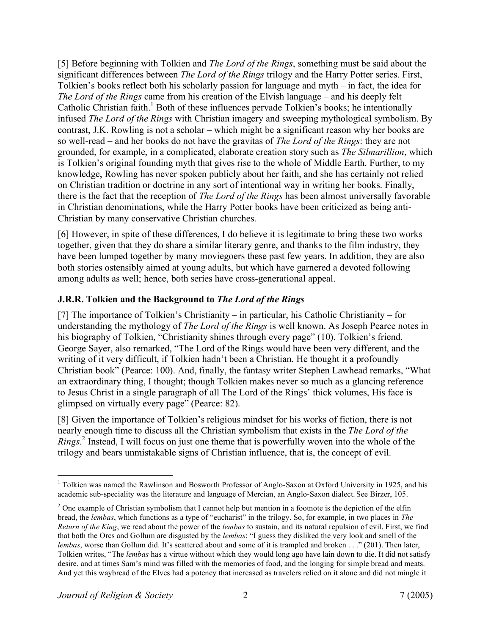[5] Before beginning with Tolkien and *The Lord of the Rings*, something must be said about the significant differences between *The Lord of the Rings* trilogy and the Harry Potter series. First, Tolkien's books reflect both his scholarly passion for language and myth – in fact, the idea for *The Lord of the Rings* came from his creation of the Elvish language – and his deeply felt Catholic Christian faith.<sup>1</sup> Both of these influences pervade Tolkien's books; he intentionally infused *The Lord of the Rings* with Christian imagery and sweeping mythological symbolism. By contrast, J.K. Rowling is not a scholar – which might be a significant reason why her books are so well-read – and her books do not have the gravitas of *The Lord of the Rings*: they are not grounded, for example, in a complicated, elaborate creation story such as *The Silmarillion*, which is Tolkien's original founding myth that gives rise to the whole of Middle Earth. Further, to my knowledge, Rowling has never spoken publicly about her faith, and she has certainly not relied on Christian tradition or doctrine in any sort of intentional way in writing her books. Finally, there is the fact that the reception of *The Lord of the Rings* has been almost universally favorable in Christian denominations, while the Harry Potter books have been criticized as being anti-Christian by many conservative Christian churches.

[6] However, in spite of these differences, I do believe it is legitimate to bring these two works together, given that they do share a similar literary genre, and thanks to the film industry, they have been lumped together by many moviegoers these past few years. In addition, they are also both stories ostensibly aimed at young adults, but which have garnered a devoted following among adults as well; hence, both series have cross-generational appeal.

# **J.R.R. Tolkien and the Background to** *The Lord of the Rings*

[7] The importance of Tolkien's Christianity – in particular, his Catholic Christianity – for understanding the mythology of *The Lord of the Rings* is well known. As Joseph Pearce notes in his biography of Tolkien, "Christianity shines through every page" (10). Tolkien's friend, George Sayer, also remarked, "The Lord of the Rings would have been very different, and the writing of it very difficult, if Tolkien hadn't been a Christian. He thought it a profoundly Christian book" (Pearce: 100). And, finally, the fantasy writer Stephen Lawhead remarks, "What an extraordinary thing, I thought; though Tolkien makes never so much as a glancing reference to Jesus Christ in a single paragraph of all The Lord of the Rings' thick volumes, His face is glimpsed on virtually every page" (Pearce: 82).

[8] Given the importance of Tolkien's religious mindset for his works of fiction, there is not nearly enough time to discuss all the Christian symbolism that exists in the *The Lord of the Rings*. 2 Instead, I will focus on just one theme that is powerfully woven into the whole of the trilogy and bears unmistakable signs of Christian influence, that is, the concept of evil.

 $\frac{1}{1}$ <sup>1</sup> Tolkien was named the Rawlinson and Bosworth Professor of Anglo-Saxon at Oxford University in 1925, and his academic sub-speciality was the literature and language of Mercian, an Anglo-Saxon dialect. See Birzer, 105.

<sup>&</sup>lt;sup>2</sup> One example of Christian symbolism that I cannot help but mention in a footnote is the depiction of the elfin bread, the *lembas*, which functions as a type of "eucharist" in the trilogy. So, for example, in two places in *The Return of the King*, we read about the power of the *lembas* to sustain, and its natural repulsion of evil. First, we find that both the Orcs and Gollum are disgusted by the *lembas*: "I guess they disliked the very look and smell of the *lembas*, worse than Gollum did. It's scattered about and some of it is trampled and broken . . ." (201). Then later, Tolkien writes, "The *lembas* has a virtue without which they would long ago have lain down to die. It did not satisfy desire, and at times Sam's mind was filled with the memories of food, and the longing for simple bread and meats. And yet this waybread of the Elves had a potency that increased as travelers relied on it alone and did not mingle it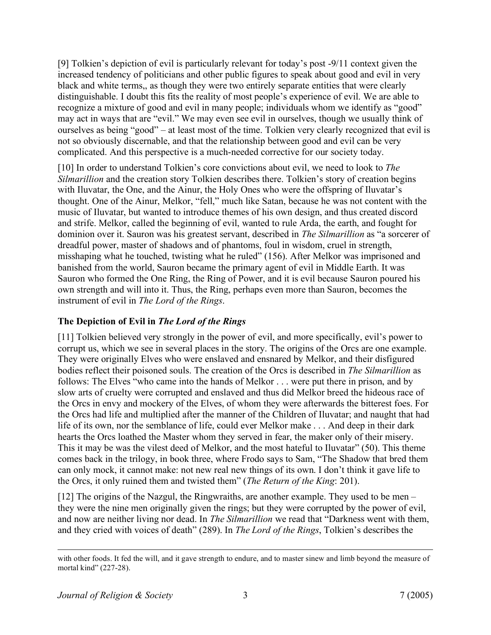[9] Tolkien's depiction of evil is particularly relevant for today's post -9/11 context given the increased tendency of politicians and other public figures to speak about good and evil in very black and white terms,, as though they were two entirely separate entities that were clearly distinguishable. I doubt this fits the reality of most people's experience of evil. We are able to recognize a mixture of good and evil in many people; individuals whom we identify as "good" may act in ways that are "evil." We may even see evil in ourselves, though we usually think of ourselves as being "good" – at least most of the time. Tolkien very clearly recognized that evil is not so obviously discernable, and that the relationship between good and evil can be very complicated. And this perspective is a much-needed corrective for our society today.

[10] In order to understand Tolkien's core convictions about evil, we need to look to *The Silmarillion* and the creation story Tolkien describes there. Tolkien's story of creation begins with Iluvatar, the One, and the Ainur, the Holy Ones who were the offspring of Iluvatar's thought. One of the Ainur, Melkor, "fell," much like Satan, because he was not content with the music of Iluvatar, but wanted to introduce themes of his own design, and thus created discord and strife. Melkor, called the beginning of evil, wanted to rule Arda, the earth, and fought for dominion over it. Sauron was his greatest servant, described in *The Silmarillion* as "a sorcerer of dreadful power, master of shadows and of phantoms, foul in wisdom, cruel in strength, misshaping what he touched, twisting what he ruled" (156). After Melkor was imprisoned and banished from the world, Sauron became the primary agent of evil in Middle Earth. It was Sauron who formed the One Ring, the Ring of Power, and it is evil because Sauron poured his own strength and will into it. Thus, the Ring, perhaps even more than Sauron, becomes the instrument of evil in *The Lord of the Rings*.

# **The Depiction of Evil in** *The Lord of the Rings*

[11] Tolkien believed very strongly in the power of evil, and more specifically, evil's power to corrupt us, which we see in several places in the story. The origins of the Orcs are one example. They were originally Elves who were enslaved and ensnared by Melkor, and their disfigured bodies reflect their poisoned souls. The creation of the Orcs is described in *The Silmarillion* as follows: The Elves "who came into the hands of Melkor . . . were put there in prison, and by slow arts of cruelty were corrupted and enslaved and thus did Melkor breed the hideous race of the Orcs in envy and mockery of the Elves, of whom they were afterwards the bitterest foes. For the Orcs had life and multiplied after the manner of the Children of Iluvatar; and naught that had life of its own, nor the semblance of life, could ever Melkor make . . . And deep in their dark hearts the Orcs loathed the Master whom they served in fear, the maker only of their misery. This it may be was the vilest deed of Melkor, and the most hateful to Iluvatar" (50). This theme comes back in the trilogy, in book three, where Frodo says to Sam, "The Shadow that bred them can only mock, it cannot make: not new real new things of its own. I don't think it gave life to the Orcs, it only ruined them and twisted them" (*The Return of the King*: 201).

[12] The origins of the Nazgul, the Ringwraiths, are another example. They used to be men – they were the nine men originally given the rings; but they were corrupted by the power of evil, and now are neither living nor dead. In *The Silmarillion* we read that "Darkness went with them, and they cried with voices of death" (289). In *The Lord of the Rings*, Tolkien's describes the

with other foods. It fed the will, and it gave strength to endure, and to master sinew and limb beyond the measure of mortal kind" (227-28).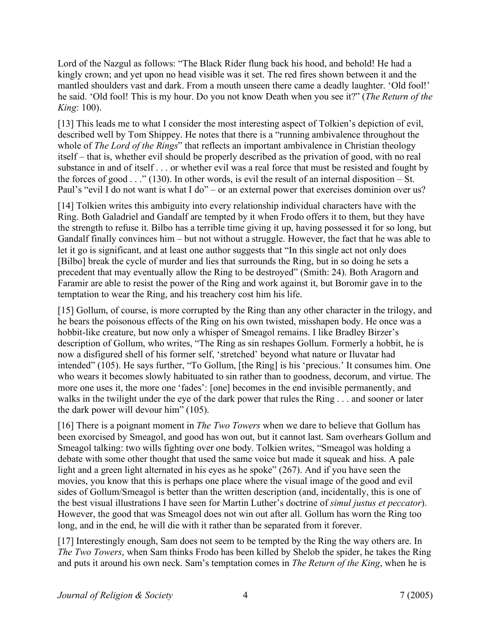Lord of the Nazgul as follows: "The Black Rider flung back his hood, and behold! He had a kingly crown; and yet upon no head visible was it set. The red fires shown between it and the mantled shoulders vast and dark. From a mouth unseen there came a deadly laughter. 'Old fool!' he said. 'Old fool! This is my hour. Do you not know Death when you see it?" (*The Return of the King*: 100).

[13] This leads me to what I consider the most interesting aspect of Tolkien's depiction of evil, described well by Tom Shippey. He notes that there is a "running ambivalence throughout the whole of *The Lord of the Rings*" that reflects an important ambivalence in Christian theology itself – that is, whether evil should be properly described as the privation of good, with no real substance in and of itself . . . or whether evil was a real force that must be resisted and fought by the forces of good  $\ldots$  " (130). In other words, is evil the result of an internal disposition – St. Paul's "evil I do not want is what I do" – or an external power that exercises dominion over us?

[14] Tolkien writes this ambiguity into every relationship individual characters have with the Ring. Both Galadriel and Gandalf are tempted by it when Frodo offers it to them, but they have the strength to refuse it. Bilbo has a terrible time giving it up, having possessed it for so long, but Gandalf finally convinces him – but not without a struggle. However, the fact that he was able to let it go is significant, and at least one author suggests that "In this single act not only does [Bilbo] break the cycle of murder and lies that surrounds the Ring, but in so doing he sets a precedent that may eventually allow the Ring to be destroyed" (Smith: 24). Both Aragorn and Faramir are able to resist the power of the Ring and work against it, but Boromir gave in to the temptation to wear the Ring, and his treachery cost him his life.

[15] Gollum, of course, is more corrupted by the Ring than any other character in the trilogy, and he bears the poisonous effects of the Ring on his own twisted, misshapen body. He once was a hobbit-like creature, but now only a whisper of Smeagol remains. I like Bradley Birzer's description of Gollum, who writes, "The Ring as sin reshapes Gollum. Formerly a hobbit, he is now a disfigured shell of his former self, 'stretched' beyond what nature or Iluvatar had intended" (105). He says further, "To Gollum, [the Ring] is his 'precious.' It consumes him. One who wears it becomes slowly habituated to sin rather than to goodness, decorum, and virtue. The more one uses it, the more one 'fades': [one] becomes in the end invisible permanently, and walks in the twilight under the eye of the dark power that rules the Ring . . . and sooner or later the dark power will devour him" (105).

[16] There is a poignant moment in *The Two Towers* when we dare to believe that Gollum has been exorcised by Smeagol, and good has won out, but it cannot last. Sam overhears Gollum and Smeagol talking: two wills fighting over one body. Tolkien writes, "Smeagol was holding a debate with some other thought that used the same voice but made it squeak and hiss. A pale light and a green light alternated in his eyes as he spoke" (267). And if you have seen the movies, you know that this is perhaps one place where the visual image of the good and evil sides of Gollum/Smeagol is better than the written description (and, incidentally, this is one of the best visual illustrations I have seen for Martin Luther's doctrine of *simul justus et peccator*). However, the good that was Smeagol does not win out after all. Gollum has worn the Ring too long, and in the end, he will die with it rather than be separated from it forever.

[17] Interestingly enough, Sam does not seem to be tempted by the Ring the way others are. In *The Two Towers*, when Sam thinks Frodo has been killed by Shelob the spider, he takes the Ring and puts it around his own neck. Sam's temptation comes in *The Return of the King*, when he is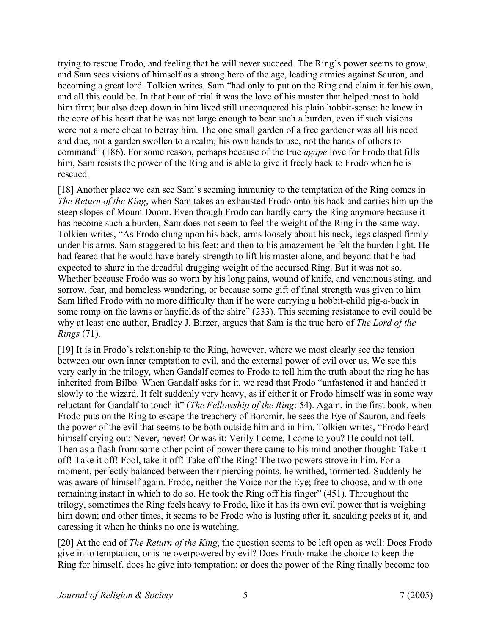trying to rescue Frodo, and feeling that he will never succeed. The Ring's power seems to grow, and Sam sees visions of himself as a strong hero of the age, leading armies against Sauron, and becoming a great lord. Tolkien writes, Sam "had only to put on the Ring and claim it for his own, and all this could be. In that hour of trial it was the love of his master that helped most to hold him firm; but also deep down in him lived still unconquered his plain hobbit-sense: he knew in the core of his heart that he was not large enough to bear such a burden, even if such visions were not a mere cheat to betray him. The one small garden of a free gardener was all his need and due, not a garden swollen to a realm; his own hands to use, not the hands of others to command" (186). For some reason, perhaps because of the true *agape* love for Frodo that fills him, Sam resists the power of the Ring and is able to give it freely back to Frodo when he is rescued.

[18] Another place we can see Sam's seeming immunity to the temptation of the Ring comes in *The Return of the King*, when Sam takes an exhausted Frodo onto his back and carries him up the steep slopes of Mount Doom. Even though Frodo can hardly carry the Ring anymore because it has become such a burden, Sam does not seem to feel the weight of the Ring in the same way. Tolkien writes, "As Frodo clung upon his back, arms loosely about his neck, legs clasped firmly under his arms. Sam staggered to his feet; and then to his amazement he felt the burden light. He had feared that he would have barely strength to lift his master alone, and beyond that he had expected to share in the dreadful dragging weight of the accursed Ring. But it was not so. Whether because Frodo was so worn by his long pains, wound of knife, and venomous sting, and sorrow, fear, and homeless wandering, or because some gift of final strength was given to him Sam lifted Frodo with no more difficulty than if he were carrying a hobbit-child pig-a-back in some romp on the lawns or hayfields of the shire" (233). This seeming resistance to evil could be why at least one author, Bradley J. Birzer, argues that Sam is the true hero of *The Lord of the Rings* (71).

[19] It is in Frodo's relationship to the Ring, however, where we most clearly see the tension between our own inner temptation to evil, and the external power of evil over us. We see this very early in the trilogy, when Gandalf comes to Frodo to tell him the truth about the ring he has inherited from Bilbo. When Gandalf asks for it, we read that Frodo "unfastened it and handed it slowly to the wizard. It felt suddenly very heavy, as if either it or Frodo himself was in some way reluctant for Gandalf to touch it" (*The Fellowship of the Ring*: 54). Again, in the first book, when Frodo puts on the Ring to escape the treachery of Boromir, he sees the Eye of Sauron, and feels the power of the evil that seems to be both outside him and in him. Tolkien writes, "Frodo heard himself crying out: Never, never! Or was it: Verily I come, I come to you? He could not tell. Then as a flash from some other point of power there came to his mind another thought: Take it off! Take it off! Fool, take it off! Take off the Ring! The two powers strove in him. For a moment, perfectly balanced between their piercing points, he writhed, tormented. Suddenly he was aware of himself again. Frodo, neither the Voice nor the Eye; free to choose, and with one remaining instant in which to do so. He took the Ring off his finger" (451). Throughout the trilogy, sometimes the Ring feels heavy to Frodo, like it has its own evil power that is weighing him down; and other times, it seems to be Frodo who is lusting after it, sneaking peeks at it, and caressing it when he thinks no one is watching.

[20] At the end of *The Return of the King*, the question seems to be left open as well: Does Frodo give in to temptation, or is he overpowered by evil? Does Frodo make the choice to keep the Ring for himself, does he give into temptation; or does the power of the Ring finally become too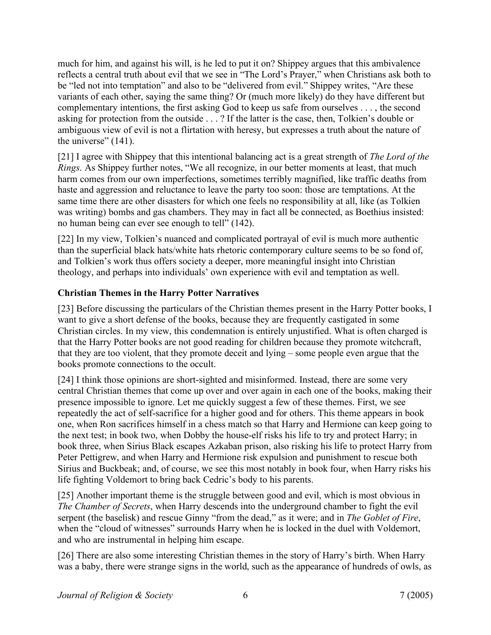much for him, and against his will, is he led to put it on? Shippey argues that this ambivalence reflects a central truth about evil that we see in "The Lord's Prayer," when Christians ask both to be "led not into temptation" and also to be "delivered from evil." Shippey writes, "Are these variants of each other, saying the same thing? Or (much more likely) do they have different but complementary intentions, the first asking God to keep us safe from ourselves . . . , the second asking for protection from the outside . . . ? If the latter is the case, then, Tolkien's double or ambiguous view of evil is not a flirtation with heresy, but expresses a truth about the nature of the universe" (141).

[21] I agree with Shippey that this intentional balancing act is a great strength of *The Lord of the Rings*. As Shippey further notes, "We all recognize, in our better moments at least, that much harm comes from our own imperfections, sometimes terribly magnified, like traffic deaths from haste and aggression and reluctance to leave the party too soon: those are temptations. At the same time there are other disasters for which one feels no responsibility at all, like (as Tolkien was writing) bombs and gas chambers. They may in fact all be connected, as Boethius insisted: no human being can ever see enough to tell" (142).

[22] In my view, Tolkien's nuanced and complicated portrayal of evil is much more authentic than the superficial black hats/white hats rhetoric contemporary culture seems to be so fond of, and Tolkien's work thus offers society a deeper, more meaningful insight into Christian theology, and perhaps into individuals' own experience with evil and temptation as well.

# **Christian Themes in the Harry Potter Narratives**

[23] Before discussing the particulars of the Christian themes present in the Harry Potter books, I want to give a short defense of the books, because they are frequently castigated in some Christian circles. In my view, this condemnation is entirely unjustified. What is often charged is that the Harry Potter books are not good reading for children because they promote witchcraft, that they are too violent, that they promote deceit and lying – some people even argue that the books promote connections to the occult.

[24] I think those opinions are short-sighted and misinformed. Instead, there are some very central Christian themes that come up over and over again in each one of the books, making their presence impossible to ignore. Let me quickly suggest a few of these themes. First, we see repeatedly the act of self-sacrifice for a higher good and for others. This theme appears in book one, when Ron sacrifices himself in a chess match so that Harry and Hermione can keep going to the next test; in book two, when Dobby the house-elf risks his life to try and protect Harry; in book three, when Sirius Black escapes Azkaban prison, also risking his life to protect Harry from Peter Pettigrew, and when Harry and Hermione risk expulsion and punishment to rescue both Sirius and Buckbeak; and, of course, we see this most notably in book four, when Harry risks his life fighting Voldemort to bring back Cedric's body to his parents.

[25] Another important theme is the struggle between good and evil, which is most obvious in *The Chamber of Secrets*, when Harry descends into the underground chamber to fight the evil serpent (the baselisk) and rescue Ginny "from the dead," as it were; and in *The Goblet of Fire*, when the "cloud of witnesses" surrounds Harry when he is locked in the duel with Voldemort, and who are instrumental in helping him escape.

[26] There are also some interesting Christian themes in the story of Harry's birth. When Harry was a baby, there were strange signs in the world, such as the appearance of hundreds of owls, as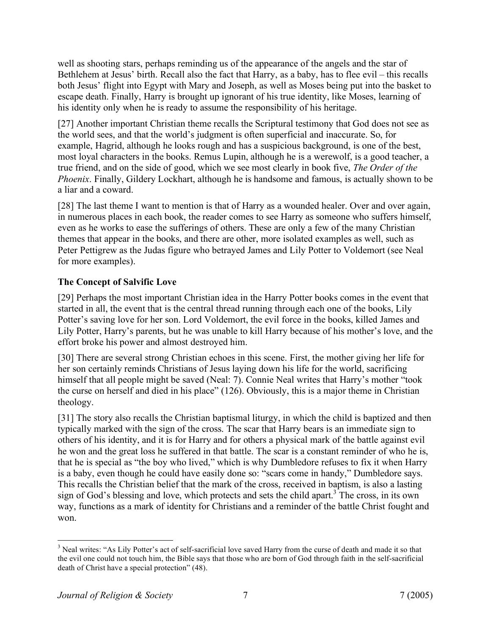well as shooting stars, perhaps reminding us of the appearance of the angels and the star of Bethlehem at Jesus' birth. Recall also the fact that Harry, as a baby, has to flee evil – this recalls both Jesus' flight into Egypt with Mary and Joseph, as well as Moses being put into the basket to escape death. Finally, Harry is brought up ignorant of his true identity, like Moses, learning of his identity only when he is ready to assume the responsibility of his heritage.

[27] Another important Christian theme recalls the Scriptural testimony that God does not see as the world sees, and that the world's judgment is often superficial and inaccurate. So, for example, Hagrid, although he looks rough and has a suspicious background, is one of the best, most loyal characters in the books. Remus Lupin, although he is a werewolf, is a good teacher, a true friend, and on the side of good, which we see most clearly in book five, *The Order of the Phoenix*. Finally, Gildery Lockhart, although he is handsome and famous, is actually shown to be a liar and a coward.

[28] The last theme I want to mention is that of Harry as a wounded healer. Over and over again, in numerous places in each book, the reader comes to see Harry as someone who suffers himself, even as he works to ease the sufferings of others. These are only a few of the many Christian themes that appear in the books, and there are other, more isolated examples as well, such as Peter Pettigrew as the Judas figure who betrayed James and Lily Potter to Voldemort (see Neal for more examples).

# **The Concept of Salvific Love**

[29] Perhaps the most important Christian idea in the Harry Potter books comes in the event that started in all, the event that is the central thread running through each one of the books, Lily Potter's saving love for her son. Lord Voldemort, the evil force in the books, killed James and Lily Potter, Harry's parents, but he was unable to kill Harry because of his mother's love, and the effort broke his power and almost destroyed him.

[30] There are several strong Christian echoes in this scene. First, the mother giving her life for her son certainly reminds Christians of Jesus laying down his life for the world, sacrificing himself that all people might be saved (Neal: 7). Connie Neal writes that Harry's mother "took the curse on herself and died in his place" (126). Obviously, this is a major theme in Christian theology.

[31] The story also recalls the Christian baptismal liturgy, in which the child is baptized and then typically marked with the sign of the cross. The scar that Harry bears is an immediate sign to others of his identity, and it is for Harry and for others a physical mark of the battle against evil he won and the great loss he suffered in that battle. The scar is a constant reminder of who he is, that he is special as "the boy who lived," which is why Dumbledore refuses to fix it when Harry is a baby, even though he could have easily done so: "scars come in handy," Dumbledore says. This recalls the Christian belief that the mark of the cross, received in baptism, is also a lasting sign of God's blessing and love, which protects and sets the child apart.<sup>3</sup> The cross, in its own way, functions as a mark of identity for Christians and a reminder of the battle Christ fought and won.

<sup>&</sup>lt;sup>2</sup><br>3 <sup>3</sup> Neal writes: "As Lily Potter's act of self-sacrificial love saved Harry from the curse of death and made it so that the evil one could not touch him, the Bible says that those who are born of God through faith in the self-sacrificial death of Christ have a special protection" (48).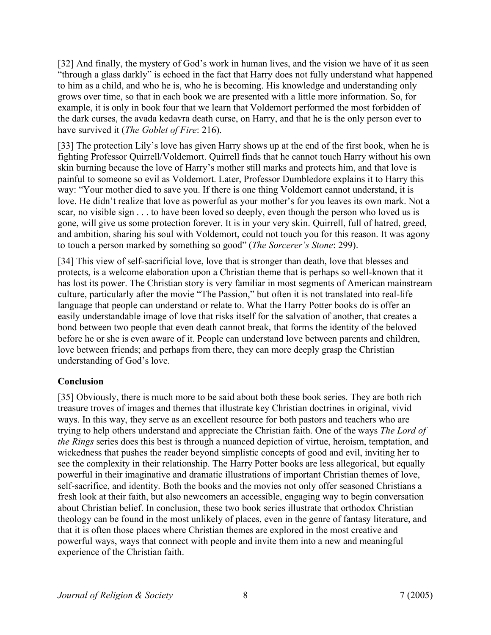[32] And finally, the mystery of God's work in human lives, and the vision we have of it as seen "through a glass darkly" is echoed in the fact that Harry does not fully understand what happened to him as a child, and who he is, who he is becoming. His knowledge and understanding only grows over time, so that in each book we are presented with a little more information. So, for example, it is only in book four that we learn that Voldemort performed the most forbidden of the dark curses, the avada kedavra death curse, on Harry, and that he is the only person ever to have survived it (*The Goblet of Fire*: 216).

[33] The protection Lily's love has given Harry shows up at the end of the first book, when he is fighting Professor Quirrell/Voldemort. Quirrell finds that he cannot touch Harry without his own skin burning because the love of Harry's mother still marks and protects him, and that love is painful to someone so evil as Voldemort. Later, Professor Dumbledore explains it to Harry this way: "Your mother died to save you. If there is one thing Voldemort cannot understand, it is love. He didn't realize that love as powerful as your mother's for you leaves its own mark. Not a scar, no visible sign . . . to have been loved so deeply, even though the person who loved us is gone, will give us some protection forever. It is in your very skin. Quirrell, full of hatred, greed, and ambition, sharing his soul with Voldemort, could not touch you for this reason. It was agony to touch a person marked by something so good" (*The Sorcerer's Stone*: 299).

[34] This view of self-sacrificial love, love that is stronger than death, love that blesses and protects, is a welcome elaboration upon a Christian theme that is perhaps so well-known that it has lost its power. The Christian story is very familiar in most segments of American mainstream culture, particularly after the movie "The Passion," but often it is not translated into real-life language that people can understand or relate to. What the Harry Potter books do is offer an easily understandable image of love that risks itself for the salvation of another, that creates a bond between two people that even death cannot break, that forms the identity of the beloved before he or she is even aware of it. People can understand love between parents and children, love between friends; and perhaps from there, they can more deeply grasp the Christian understanding of God's love.

#### **Conclusion**

[35] Obviously, there is much more to be said about both these book series. They are both rich treasure troves of images and themes that illustrate key Christian doctrines in original, vivid ways. In this way, they serve as an excellent resource for both pastors and teachers who are trying to help others understand and appreciate the Christian faith. One of the ways *The Lord of the Rings* series does this best is through a nuanced depiction of virtue, heroism, temptation, and wickedness that pushes the reader beyond simplistic concepts of good and evil, inviting her to see the complexity in their relationship. The Harry Potter books are less allegorical, but equally powerful in their imaginative and dramatic illustrations of important Christian themes of love, self-sacrifice, and identity. Both the books and the movies not only offer seasoned Christians a fresh look at their faith, but also newcomers an accessible, engaging way to begin conversation about Christian belief. In conclusion, these two book series illustrate that orthodox Christian theology can be found in the most unlikely of places, even in the genre of fantasy literature, and that it is often those places where Christian themes are explored in the most creative and powerful ways, ways that connect with people and invite them into a new and meaningful experience of the Christian faith.